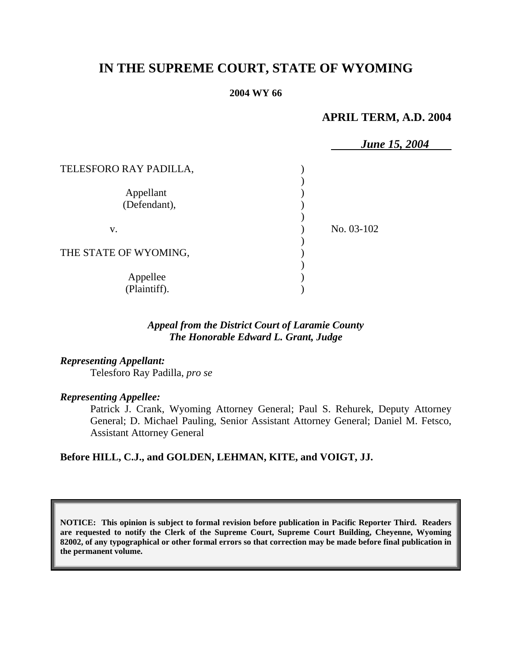# **IN THE SUPREME COURT, STATE OF WYOMING**

### **2004 WY 66**

## **APRIL TERM, A.D. 2004**

|                           | <b>June 15, 2004</b> |
|---------------------------|----------------------|
| TELESFORO RAY PADILLA,    |                      |
| Appellant<br>(Defendant), |                      |
| V.                        | No. 03-102           |
| THE STATE OF WYOMING,     |                      |
| Appellee<br>(Plaintiff).  |                      |

## *Appeal from the District Court of Laramie County The Honorable Edward L. Grant, Judge*

### *Representing Appellant:*

Telesforo Ray Padilla, *pro se*

#### *Representing Appellee:*

Patrick J. Crank, Wyoming Attorney General; Paul S. Rehurek, Deputy Attorney General; D. Michael Pauling, Senior Assistant Attorney General; Daniel M. Fetsco, Assistant Attorney General

## **Before HILL, C.J., and GOLDEN, LEHMAN, KITE, and VOIGT, JJ.**

**NOTICE: This opinion is subject to formal revision before publication in Pacific Reporter Third. Readers are requested to notify the Clerk of the Supreme Court, Supreme Court Building, Cheyenne, Wyoming 82002, of any typographical or other formal errors so that correction may be made before final publication in the permanent volume.**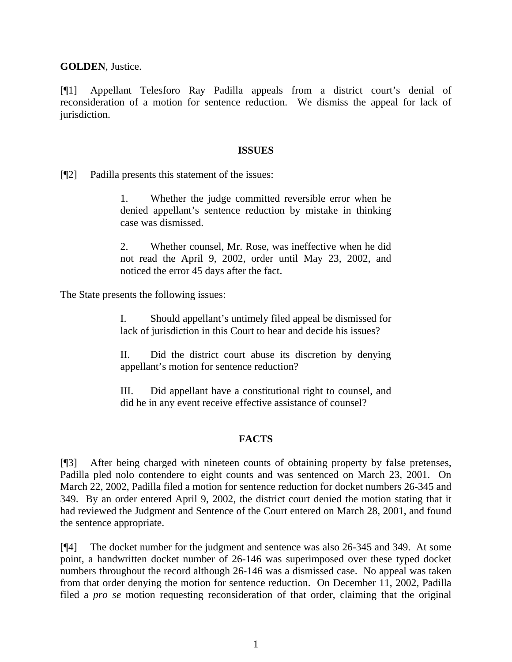**GOLDEN**, Justice.

[¶1] Appellant Telesforo Ray Padilla appeals from a district court's denial of reconsideration of a motion for sentence reduction. We dismiss the appeal for lack of jurisdiction.

## **ISSUES**

[¶2] Padilla presents this statement of the issues:

1. Whether the judge committed reversible error when he denied appellant's sentence reduction by mistake in thinking case was dismissed.

2. Whether counsel, Mr. Rose, was ineffective when he did not read the April 9, 2002, order until May 23, 2002, and noticed the error 45 days after the fact.

The State presents the following issues:

I. Should appellant's untimely filed appeal be dismissed for lack of jurisdiction in this Court to hear and decide his issues?

II. Did the district court abuse its discretion by denying appellant's motion for sentence reduction?

III. Did appellant have a constitutional right to counsel, and did he in any event receive effective assistance of counsel?

## **FACTS**

[¶3] After being charged with nineteen counts of obtaining property by false pretenses, Padilla pled nolo contendere to eight counts and was sentenced on March 23, 2001. On March 22, 2002, Padilla filed a motion for sentence reduction for docket numbers 26-345 and 349. By an order entered April 9, 2002, the district court denied the motion stating that it had reviewed the Judgment and Sentence of the Court entered on March 28, 2001, and found the sentence appropriate.

[¶4] The docket number for the judgment and sentence was also 26-345 and 349. At some point, a handwritten docket number of 26-146 was superimposed over these typed docket numbers throughout the record although 26-146 was a dismissed case. No appeal was taken from that order denying the motion for sentence reduction. On December 11, 2002, Padilla filed a *pro se* motion requesting reconsideration of that order, claiming that the original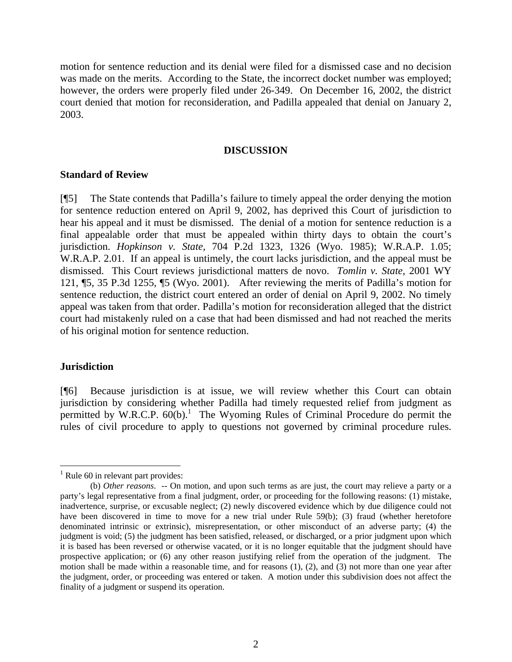motion for sentence reduction and its denial were filed for a dismissed case and no decision was made on the merits. According to the State, the incorrect docket number was employed; however, the orders were properly filed under 26-349. On December 16, 2002, the district court denied that motion for reconsideration, and Padilla appealed that denial on January 2, 2003.

#### **DISCUSSION**

## **Standard of Review**

[¶5] The State contends that Padilla's failure to timely appeal the order denying the motion for sentence reduction entered on April 9, 2002, has deprived this Court of jurisdiction to hear his appeal and it must be dismissed. The denial of a motion for sentence reduction is a final appealable order that must be appealed within thirty days to obtain the court's jurisdiction. *Hopkinson v. State,* 704 P.2d 1323, 1326 (Wyo. 1985); W.R.A.P. 1.05; W.R.A.P. 2.01. If an appeal is untimely, the court lacks jurisdiction, and the appeal must be dismissed. This Court reviews jurisdictional matters de novo. *Tomlin v. State*, 2001 WY 121, ¶5, 35 P.3d 1255, ¶5 (Wyo. 2001). After reviewing the merits of Padilla's motion for sentence reduction, the district court entered an order of denial on April 9, 2002. No timely appeal was taken from that order. Padilla's motion for reconsideration alleged that the district court had mistakenly ruled on a case that had been dismissed and had not reached the merits of his original motion for sentence reduction.

#### **Jurisdiction**

 $\overline{a}$ 

[¶6] Because jurisdiction is at issue, we will review whether this Court can obtain jurisdiction by considering whether Padilla had timely requested relief from judgment as permitted by W.R.C.P.  $60(b)$ .<sup>1</sup> The Wyoming Rules of Criminal Procedure do permit the rules of civil procedure to apply to questions not governed by criminal procedure rules.

 $<sup>1</sup>$  Rule 60 in relevant part provides:</sup>

<sup>(</sup>b) *Other reasons*. -- On motion, and upon such terms as are just, the court may relieve a party or a party's legal representative from a final judgment, order, or proceeding for the following reasons: (1) mistake, inadvertence, surprise, or excusable neglect; (2) newly discovered evidence which by due diligence could not have been discovered in time to move for a new trial under Rule 59(b); (3) fraud (whether heretofore denominated intrinsic or extrinsic), misrepresentation, or other misconduct of an adverse party; (4) the judgment is void; (5) the judgment has been satisfied, released, or discharged, or a prior judgment upon which it is based has been reversed or otherwise vacated, or it is no longer equitable that the judgment should have prospective application; or (6) any other reason justifying relief from the operation of the judgment. The motion shall be made within a reasonable time, and for reasons (1), (2), and (3) not more than one year after the judgment, order, or proceeding was entered or taken. A motion under this subdivision does not affect the finality of a judgment or suspend its operation.